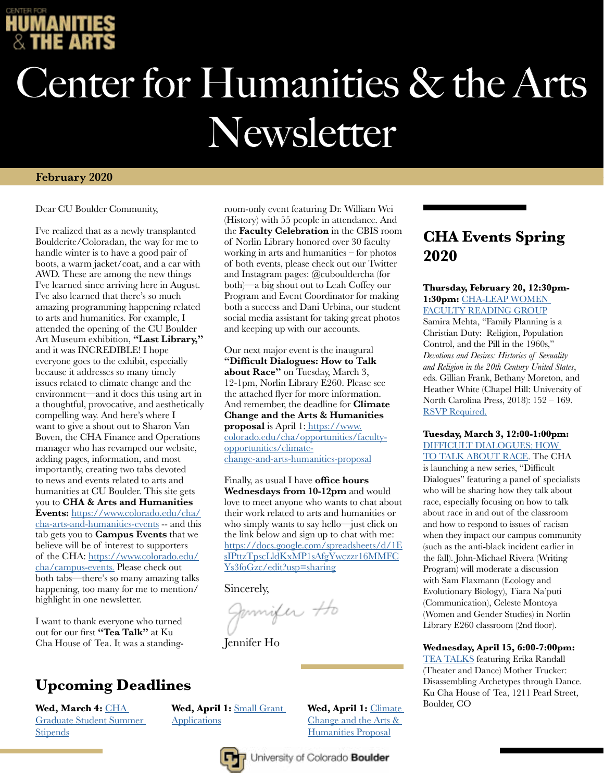

# Center for Humanities & the Arts Newsletter

room-only event featuring Dr. William Wei (History) with 55 people in attendance. And the **Faculty Celebration** in the CBIS room of Norlin Library honored over 30 faculty working in arts and humanities – for photos of both events, please check out our Twitter and Instagram pages: @cubouldercha (for both)—a big shout out to Leah Coffey our Program and Event Coordinator for making both a success and Dani Urbina, our student social media assistant for taking great photos

#### **February 2020**

Dear CU Boulder Community,

I've realized that as a newly transplanted Boulderite/Coloradan, the way for me to handle winter is to have a good pair of boots, a warm jacket/coat, and a car with AWD. These are among the new things I've learned since arriving here in August. I've also learned that there's so much amazing programming happening related to arts and humanities. For example, I attended the opening of the CU Boulder Art Museum exhibition, **"Last Library,"** and it was INCREDIBLE! I hope everyone goes to the exhibit, especially because it addresses so many timely issues related to climate change and the environment—and it does this using art in a thoughtful, provocative, and aesthetically compelling way. And here's where I want to give a shout out to Sharon Van Boven, the CHA Finance and Operations manager who has revamped our website, adding pages, information, and most importantly, creating two tabs devoted to news and events related to arts and humanities at CU Boulder. This site gets you to **CHA & Arts and Humanities Events:** [https://www.colorado.edu/cha/](https://www.colorado.edu/cha/cha-arts-and-humanities-events) [cha-arts-and-humanities-events](https://www.colorado.edu/cha/cha-arts-and-humanities-events) -- and this tab gets you to **Campus Events** that we believe will be of interest to supporters of the CHA: [https://www.colorado.edu/](https://www.colorado.edu/cha/campus-events) [cha/campus-events.](https://www.colorado.edu/cha/campus-events) Please check out both tabs—there's so many amazing talks happening, too many for me to mention/ highlight in one newsletter.

I want to thank everyone who turned out for our first **"Tea Talk"** at Ku Cha House of Tea. It was a standing-

### **Upcoming Deadlines**

**Wed, March 4:** [CHA](https://www.colorado.edu/cha/student-opportunities/summer-fellowships)  [Graduate Student Summer](https://www.colorado.edu/cha/student-opportunities/summer-fellowships)  **[Stipends](https://www.colorado.edu/cha/student-opportunities/summer-fellowships)** 

**about Race"** on Tuesday, March 3, 12-1pm, Norlin Library E260. Please see the attached flyer for more information. And remember, the deadline for **Climate Change and the Arts & Humanities proposal** is April 1: [https://www.](https://www.colorado.edu/cha/opportunities/faculty-opportunities/climate-change-and-arts-humanities-proposal) [colorado.edu/cha/opportunities/faculty](https://www.colorado.edu/cha/opportunities/faculty-opportunities/climate-change-and-arts-humanities-proposal)[opportunities/climate](https://www.colorado.edu/cha/opportunities/faculty-opportunities/climate-change-and-arts-humanities-proposal)[change-and-arts-humanities-proposal](https://www.colorado.edu/cha/opportunities/faculty-opportunities/climate-change-and-arts-humanities-proposal)

and keeping up with our accounts.

Our next major event is the inaugural **"Difficult Dialogues: How to Talk** 

Finally, as usual I have **office hours Wednesdays from 10-12pm** and would love to meet anyone who wants to chat about their work related to arts and humanities or who simply wants to say hello—just click on the link below and sign up to chat with me: [https://docs.google.com/spreadsheets/d/1E](https://docs.google.com/spreadsheets/d/1EsIPttzTpscLldKxMP1sAfgYwczzr16MMFCYs3foGzc/edit#gid=0) [sIPttzTpscLldKxMP1sAfgYwczzr16MMFC](https://docs.google.com/spreadsheets/d/1EsIPttzTpscLldKxMP1sAfgYwczzr16MMFCYs3foGzc/edit#gid=0) [Ys3foGzc/edit?usp=sharing](https://docs.google.com/spreadsheets/d/1EsIPttzTpscLldKxMP1sAfgYwczzr16MMFCYs3foGzc/edit#gid=0)

Sincerely,

Jamifer Ho

Jennifer Ho

### **CHA Events Spring 2020**

#### **Thursday, February 20, 12:30pm-**1:30pm: CHA-LEAP WOMEN [FACULTY READING GROUP](https://www.colorado.edu/cha/cha-leap-women-faculty-reading-group)

Samira Mehta, "Family Planning is a Christian Duty: Religion, Population Control, and the Pill in the 1960s," *Devotions and Desires: Histories of Sexuality and Religion in the 20th Century United States*, eds. Gillian Frank, Bethany Moreton, and Heather White (Chapel Hill: University of North Carolina Press, 2018): 152 – 169. [RSVP Requ](https://docs.google.com/spreadsheets/d/1YgcpaidBcnuXwm6AsZdvz58yFAhPZPDX__kL9Jnldf0/edit#gid=0)ired.

#### **Tuesday, March 3, 12:00-1:00pm:**  [DIFFICULT DIALOGUES: HOW](https://www.colorado.edu/cha/difficult-dialogues)

[TO TALK ABOUT RACE](https://www.colorado.edu/cha/difficult-dialogues). The CHA is launching a new series, "Difficult Dialogues" featuring a panel of specialists who will be sharing how they talk about race, especially focusing on how to talk about race in and out of the classroom and how to respond to issues of racism when they impact our campus community (such as the anti-black incident earlier in the fall). John-Michael Rivera (Writing Program) will moderate a discussion with Sam Flaxmann (Ecology and Evolutionary Biology), Tiara Na'puti (Communication), Celeste Montoya (Women and Gender Studies) in Norlin Library E260 classroom (2nd floor).

#### **Wednesday, April 15, 6:00-7:00pm:**

[TEA TALKS](https://www.colorado.edu/cha/tea-talks) featuring Erika Randall (Theater and Dance) Mother Trucker: Disassembling Archetypes through Dance. Ku Cha House of Tea, 1211 Pearl Street, Boulder, CO

**Wed, April 1:** [Small Grant](https://www.colorado.edu/cha/faculty-opportunities/cha-small-grants)  **[Applications](https://www.colorado.edu/cha/faculty-opportunities/cha-small-grants)** 

**Wed, April 1:** [Climate](https://www.colorado.edu/cha/opportunities/faculty-opportunities/climate-change-and-arts-humanities-proposal)  [Change and the Arts &](https://www.colorado.edu/cha/opportunities/faculty-opportunities/climate-change-and-arts-humanities-proposal)  [Humanities Proposal](https://www.colorado.edu/cha/opportunities/faculty-opportunities/climate-change-and-arts-humanities-proposal)



University of Colorado Boulder